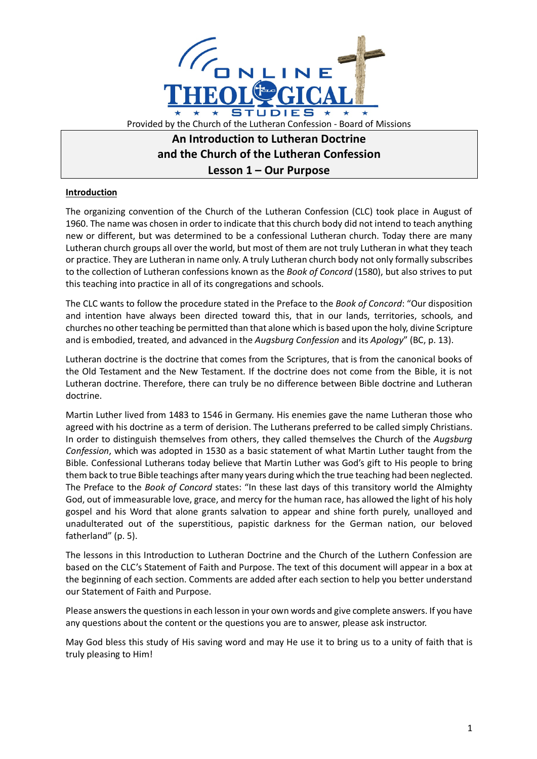

# **An Introduction to Lutheran Doctrine and the Church of the Lutheran Confession Lesson 1 – Our Purpose**

## **Introduction**

The organizing convention of the Church of the Lutheran Confession (CLC) took place in August of 1960. The name was chosen in order to indicate that this church body did not intend to teach anything new or different, but was determined to be a confessional Lutheran church. Today there are many Lutheran church groups all over the world, but most of them are not truly Lutheran in what they teach or practice. They are Lutheran in name only. A truly Lutheran church body not only formally subscribes to the collection of Lutheran confessions known as the *Book of Concord* (1580), but also strives to put this teaching into practice in all of its congregations and schools.

The CLC wants to follow the procedure stated in the Preface to the *Book of Concord*: "Our disposition and intention have always been directed toward this, that in our lands, territories, schools, and churches no other teaching be permitted than that alone which is based upon the holy, divine Scripture and is embodied, treated, and advanced in the *Augsburg Confession* and its *Apology*" (BC, p. 13).

Lutheran doctrine is the doctrine that comes from the Scriptures, that is from the canonical books of the Old Testament and the New Testament. If the doctrine does not come from the Bible, it is not Lutheran doctrine. Therefore, there can truly be no difference between Bible doctrine and Lutheran doctrine.

Martin Luther lived from 1483 to 1546 in Germany. His enemies gave the name Lutheran those who agreed with his doctrine as a term of derision. The Lutherans preferred to be called simply Christians. In order to distinguish themselves from others, they called themselves the Church of the *Augsburg Confession*, which was adopted in 1530 as a basic statement of what Martin Luther taught from the Bible. Confessional Lutherans today believe that Martin Luther was God's gift to His people to bring them back to true Bible teachings after many years during which the true teaching had been neglected. The Preface to the *Book of Concord* states: "In these last days of this transitory world the Almighty God, out of immeasurable love, grace, and mercy for the human race, has allowed the light of his holy gospel and his Word that alone grants salvation to appear and shine forth purely, unalloyed and unadulterated out of the superstitious, papistic darkness for the German nation, our beloved fatherland" (p. 5).

The lessons in this Introduction to Lutheran Doctrine and the Church of the Luthern Confession are based on the CLC's Statement of Faith and Purpose. The text of this document will appear in a box at the beginning of each section. Comments are added after each section to help you better understand our Statement of Faith and Purpose.

Please answers the questions in each lesson in your own words and give complete answers. If you have any questions about the content or the questions you are to answer, please ask instructor.

May God bless this study of His saving word and may He use it to bring us to a unity of faith that is truly pleasing to Him!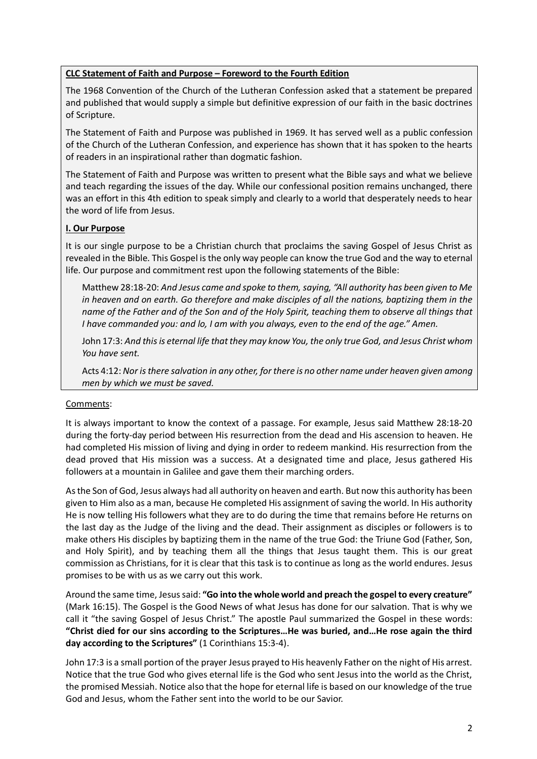## **CLC Statement of Faith and Purpose – Foreword to the Fourth Edition**

The 1968 Convention of the Church of the Lutheran Confession asked that a statement be prepared and published that would supply a simple but definitive expression of our faith in the basic doctrines of Scripture.

The Statement of Faith and Purpose was published in 1969. It has served well as a public confession of the Church of the Lutheran Confession, and experience has shown that it has spoken to the hearts of readers in an inspirational rather than dogmatic fashion.

The Statement of Faith and Purpose was written to present what the Bible says and what we believe and teach regarding the issues of the day. While our confessional position remains unchanged, there was an effort in this 4th edition to speak simply and clearly to a world that desperately needs to hear the word of life from Jesus.

## **I. Our Purpose**

It is our single purpose to be a Christian church that proclaims the saving Gospel of Jesus Christ as revealed in the Bible. This Gospel is the only way people can know the true God and the way to eternal life. Our purpose and commitment rest upon the following statements of the Bible:

Matthew 28:18-20: *And Jesus came and spoke to them, saying, "All authority has been given to Me in heaven and on earth. Go therefore and make disciples of all the nations, baptizing them in the name of the Father and of the Son and of the Holy Spirit, teaching them to observe all things that I have commanded you: and lo, I am with you always, even to the end of the age." Amen.*

John 17:3: *And this is eternal life that they may know You, the only true God, and Jesus Christ whom You have sent.*

Acts 4:12: *Nor is there salvation in any other, for there is no other name under heaven given among men by which we must be saved.*

## Comments:

It is always important to know the context of a passage. For example, Jesus said Matthew 28:18-20 during the forty-day period between His resurrection from the dead and His ascension to heaven. He had completed His mission of living and dying in order to redeem mankind. His resurrection from the dead proved that His mission was a success. At a designated time and place, Jesus gathered His followers at a mountain in Galilee and gave them their marching orders.

As the Son of God, Jesus always had all authority on heaven and earth. But now this authority has been given to Him also as a man, because He completed His assignment of saving the world. In His authority He is now telling His followers what they are to do during the time that remains before He returns on the last day as the Judge of the living and the dead. Their assignment as disciples or followers is to make others His disciples by baptizing them in the name of the true God: the Triune God (Father, Son, and Holy Spirit), and by teaching them all the things that Jesus taught them. This is our great commission as Christians, for it is clear that this task is to continue as long as the world endures. Jesus promises to be with us as we carry out this work.

Around the same time, Jesus said: **"Go into the whole world and preach the gospel to every creature"** (Mark 16:15). The Gospel is the Good News of what Jesus has done for our salvation. That is why we call it "the saving Gospel of Jesus Christ." The apostle Paul summarized the Gospel in these words: **"Christ died for our sins according to the Scriptures…He was buried, and…He rose again the third day according to the Scriptures"** (1 Corinthians 15:3-4).

John 17:3 is a small portion of the prayer Jesus prayed to His heavenly Father on the night of His arrest. Notice that the true God who gives eternal life is the God who sent Jesus into the world as the Christ, the promised Messiah. Notice also that the hope for eternal life is based on our knowledge of the true God and Jesus, whom the Father sent into the world to be our Savior.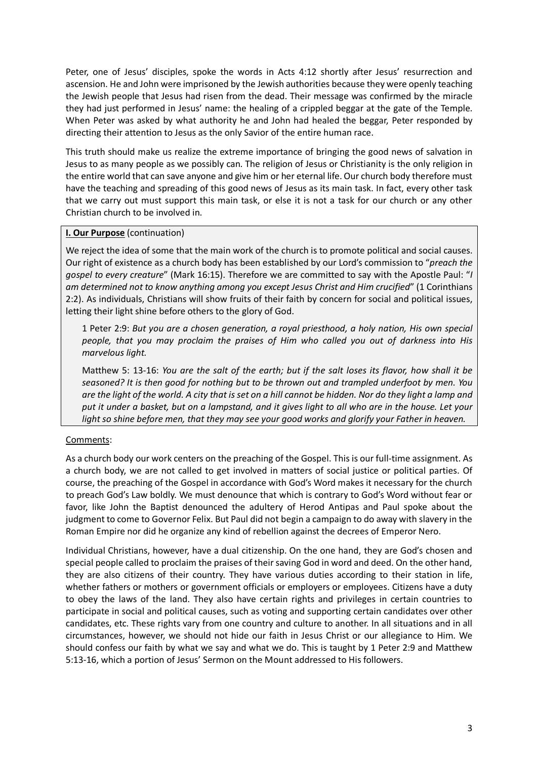Peter, one of Jesus' disciples, spoke the words in Acts 4:12 shortly after Jesus' resurrection and ascension. He and John were imprisoned by the Jewish authorities because they were openly teaching the Jewish people that Jesus had risen from the dead. Their message was confirmed by the miracle they had just performed in Jesus' name: the healing of a crippled beggar at the gate of the Temple. When Peter was asked by what authority he and John had healed the beggar, Peter responded by directing their attention to Jesus as the only Savior of the entire human race.

This truth should make us realize the extreme importance of bringing the good news of salvation in Jesus to as many people as we possibly can. The religion of Jesus or Christianity is the only religion in the entire world that can save anyone and give him or her eternal life. Our church body therefore must have the teaching and spreading of this good news of Jesus as its main task. In fact, every other task that we carry out must support this main task, or else it is not a task for our church or any other Christian church to be involved in.

## **I. Our Purpose** (continuation)

We reject the idea of some that the main work of the church is to promote political and social causes. Our right of existence as a church body has been established by our Lord's commission to "*preach the gospel to every creature*" (Mark 16:15). Therefore we are committed to say with the Apostle Paul: "*I am determined not to know anything among you except Jesus Christ and Him crucified*" (1 Corinthians 2:2). As individuals, Christians will show fruits of their faith by concern for social and political issues, letting their light shine before others to the glory of God.

1 Peter 2:9: *But you are a chosen generation, a royal priesthood, a holy nation, His own special people, that you may proclaim the praises of Him who called you out of darkness into His marvelous light.*

Matthew 5: 13-16: *You are the salt of the earth; but if the salt loses its flavor, how shall it be seasoned? It is then good for nothing but to be thrown out and trampled underfoot by men. You are the light of the world. A city that is set on a hill cannot be hidden. Nor do they light a lamp and put it under a basket, but on a lampstand, and it gives light to all who are in the house. Let your light so shine before men, that they may see your good works and glorify your Father in heaven.*

## Comments:

As a church body our work centers on the preaching of the Gospel. This is our full-time assignment. As a church body, we are not called to get involved in matters of social justice or political parties. Of course, the preaching of the Gospel in accordance with God's Word makes it necessary for the church to preach God's Law boldly. We must denounce that which is contrary to God's Word without fear or favor, like John the Baptist denounced the adultery of Herod Antipas and Paul spoke about the judgment to come to Governor Felix. But Paul did not begin a campaign to do away with slavery in the Roman Empire nor did he organize any kind of rebellion against the decrees of Emperor Nero.

Individual Christians, however, have a dual citizenship. On the one hand, they are God's chosen and special people called to proclaim the praises of their saving God in word and deed. On the other hand, they are also citizens of their country. They have various duties according to their station in life, whether fathers or mothers or government officials or employers or employees. Citizens have a duty to obey the laws of the land. They also have certain rights and privileges in certain countries to participate in social and political causes, such as voting and supporting certain candidates over other candidates, etc. These rights vary from one country and culture to another. In all situations and in all circumstances, however, we should not hide our faith in Jesus Christ or our allegiance to Him. We should confess our faith by what we say and what we do. This is taught by 1 Peter 2:9 and Matthew 5:13-16, which a portion of Jesus' Sermon on the Mount addressed to His followers.